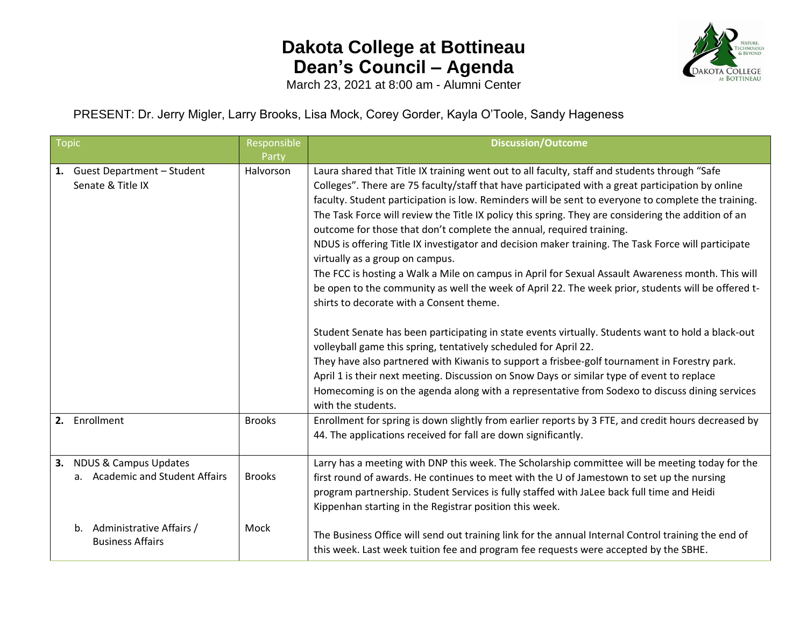

March 23, 2021 at 8:00 am - Alumni Center

PRESENT: Dr. Jerry Migler, Larry Brooks, Lisa Mock, Corey Gorder, Kayla O'Toole, Sandy Hageness

| <b>Topic</b> |                                                             | Responsible   | <b>Discussion/Outcome</b>                                                                                                                                                                                                                                                                                                                                                                                                                                                                                                                                                                                                                                                                                                                                                                                                                                                                                                                                                                                                                                                                                                                                                                                                                                                                                                                                                                 |
|--------------|-------------------------------------------------------------|---------------|-------------------------------------------------------------------------------------------------------------------------------------------------------------------------------------------------------------------------------------------------------------------------------------------------------------------------------------------------------------------------------------------------------------------------------------------------------------------------------------------------------------------------------------------------------------------------------------------------------------------------------------------------------------------------------------------------------------------------------------------------------------------------------------------------------------------------------------------------------------------------------------------------------------------------------------------------------------------------------------------------------------------------------------------------------------------------------------------------------------------------------------------------------------------------------------------------------------------------------------------------------------------------------------------------------------------------------------------------------------------------------------------|
|              |                                                             | Party         |                                                                                                                                                                                                                                                                                                                                                                                                                                                                                                                                                                                                                                                                                                                                                                                                                                                                                                                                                                                                                                                                                                                                                                                                                                                                                                                                                                                           |
|              | 1. Guest Department - Student<br>Senate & Title IX          | Halvorson     | Laura shared that Title IX training went out to all faculty, staff and students through "Safe<br>Colleges". There are 75 faculty/staff that have participated with a great participation by online<br>faculty. Student participation is low. Reminders will be sent to everyone to complete the training.<br>The Task Force will review the Title IX policy this spring. They are considering the addition of an<br>outcome for those that don't complete the annual, required training.<br>NDUS is offering Title IX investigator and decision maker training. The Task Force will participate<br>virtually as a group on campus.<br>The FCC is hosting a Walk a Mile on campus in April for Sexual Assault Awareness month. This will<br>be open to the community as well the week of April 22. The week prior, students will be offered t-<br>shirts to decorate with a Consent theme.<br>Student Senate has been participating in state events virtually. Students want to hold a black-out<br>volleyball game this spring, tentatively scheduled for April 22.<br>They have also partnered with Kiwanis to support a frisbee-golf tournament in Forestry park.<br>April 1 is their next meeting. Discussion on Snow Days or similar type of event to replace<br>Homecoming is on the agenda along with a representative from Sodexo to discuss dining services<br>with the students. |
|              | 2. Enrollment                                               | <b>Brooks</b> | Enrollment for spring is down slightly from earlier reports by 3 FTE, and credit hours decreased by<br>44. The applications received for fall are down significantly.                                                                                                                                                                                                                                                                                                                                                                                                                                                                                                                                                                                                                                                                                                                                                                                                                                                                                                                                                                                                                                                                                                                                                                                                                     |
|              | 3. NDUS & Campus Updates<br>a. Academic and Student Affairs | <b>Brooks</b> | Larry has a meeting with DNP this week. The Scholarship committee will be meeting today for the<br>first round of awards. He continues to meet with the U of Jamestown to set up the nursing<br>program partnership. Student Services is fully staffed with JaLee back full time and Heidi<br>Kippenhan starting in the Registrar position this week.                                                                                                                                                                                                                                                                                                                                                                                                                                                                                                                                                                                                                                                                                                                                                                                                                                                                                                                                                                                                                                     |
|              | Administrative Affairs /<br>b.<br><b>Business Affairs</b>   | Mock          | The Business Office will send out training link for the annual Internal Control training the end of<br>this week. Last week tuition fee and program fee requests were accepted by the SBHE.                                                                                                                                                                                                                                                                                                                                                                                                                                                                                                                                                                                                                                                                                                                                                                                                                                                                                                                                                                                                                                                                                                                                                                                               |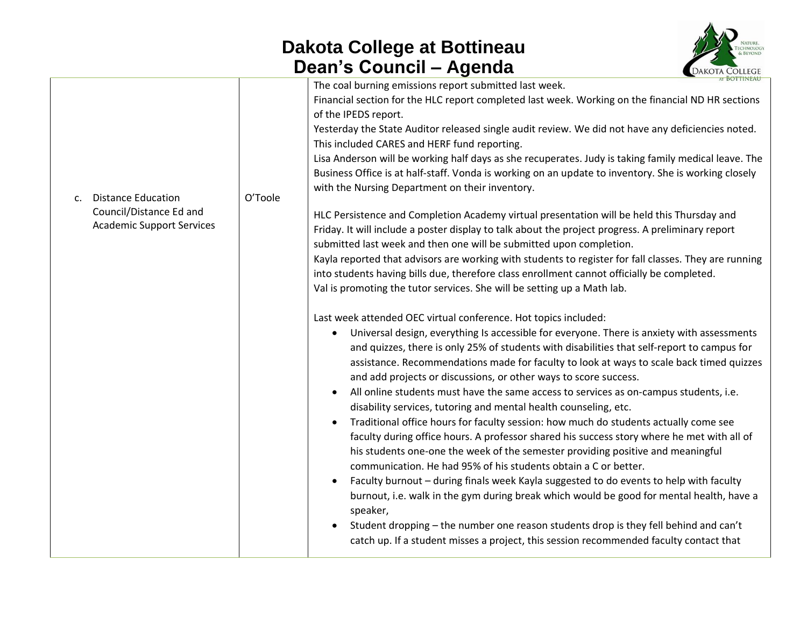

| O'Toole | The coal burning emissions report submitted last week.<br>Financial section for the HLC report completed last week. Working on the financial ND HR sections<br>of the IPEDS report.<br>Yesterday the State Auditor released single audit review. We did not have any deficiencies noted.<br>This included CARES and HERF fund reporting.<br>Lisa Anderson will be working half days as she recuperates. Judy is taking family medical leave. The<br>Business Office is at half-staff. Vonda is working on an update to inventory. She is working closely<br>with the Nursing Department on their inventory.<br>HLC Persistence and Completion Academy virtual presentation will be held this Thursday and<br>Friday. It will include a poster display to talk about the project progress. A preliminary report<br>submitted last week and then one will be submitted upon completion.<br>Kayla reported that advisors are working with students to register for fall classes. They are running<br>into students having bills due, therefore class enrollment cannot officially be completed.<br>Val is promoting the tutor services. She will be setting up a Math lab.<br>Last week attended OEC virtual conference. Hot topics included:<br>Universal design, everything Is accessible for everyone. There is anxiety with assessments<br>and quizzes, there is only 25% of students with disabilities that self-report to campus for<br>assistance. Recommendations made for faculty to look at ways to scale back timed quizzes<br>and add projects or discussions, or other ways to score success.<br>All online students must have the same access to services as on-campus students, i.e.<br>disability services, tutoring and mental health counseling, etc.<br>Traditional office hours for faculty session: how much do students actually come see<br>faculty during office hours. A professor shared his success story where he met with all of<br>his students one-one the week of the semester providing positive and meaningful<br>communication. He had 95% of his students obtain a C or better.<br>Faculty burnout - during finals week Kayla suggested to do events to help with faculty | <b>EXAMPLE COLLEGE</b> |
|---------|------------------------------------------------------------------------------------------------------------------------------------------------------------------------------------------------------------------------------------------------------------------------------------------------------------------------------------------------------------------------------------------------------------------------------------------------------------------------------------------------------------------------------------------------------------------------------------------------------------------------------------------------------------------------------------------------------------------------------------------------------------------------------------------------------------------------------------------------------------------------------------------------------------------------------------------------------------------------------------------------------------------------------------------------------------------------------------------------------------------------------------------------------------------------------------------------------------------------------------------------------------------------------------------------------------------------------------------------------------------------------------------------------------------------------------------------------------------------------------------------------------------------------------------------------------------------------------------------------------------------------------------------------------------------------------------------------------------------------------------------------------------------------------------------------------------------------------------------------------------------------------------------------------------------------------------------------------------------------------------------------------------------------------------------------------------------------------------------------------------------------------------------------------------------------------------------------------|------------------------|
|         | burnout, i.e. walk in the gym during break which would be good for mental health, have a<br>speaker,<br>Student dropping - the number one reason students drop is they fell behind and can't<br>catch up. If a student misses a project, this session recommended faculty contact that                                                                                                                                                                                                                                                                                                                                                                                                                                                                                                                                                                                                                                                                                                                                                                                                                                                                                                                                                                                                                                                                                                                                                                                                                                                                                                                                                                                                                                                                                                                                                                                                                                                                                                                                                                                                                                                                                                                     |                        |
|         |                                                                                                                                                                                                                                                                                                                                                                                                                                                                                                                                                                                                                                                                                                                                                                                                                                                                                                                                                                                                                                                                                                                                                                                                                                                                                                                                                                                                                                                                                                                                                                                                                                                                                                                                                                                                                                                                                                                                                                                                                                                                                                                                                                                                            |                        |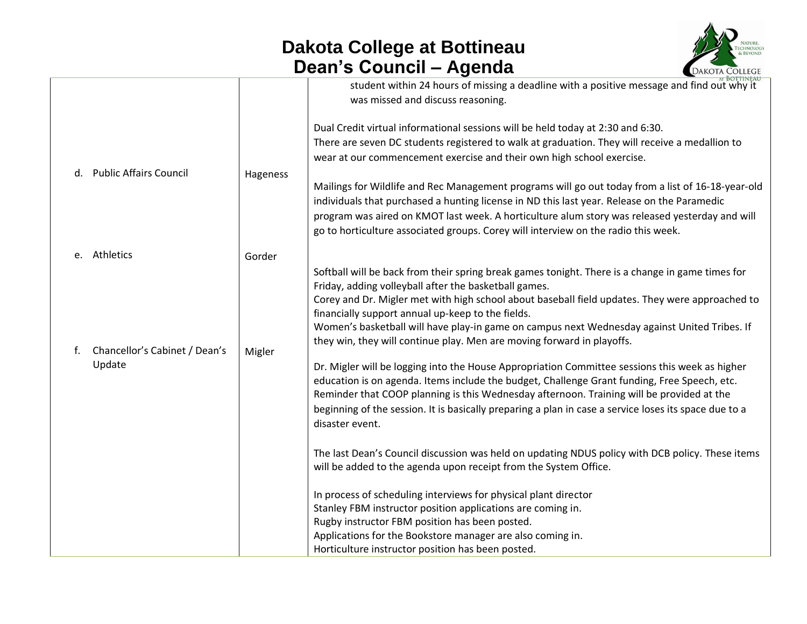

|              |                                         |          | <b>AI BOTTINEAU</b>                                                                                                                                                                                                                                                                                                                                                                                                                                                                                                                                                                                                                                                                                                                                                                                                                                                                                                    |
|--------------|-----------------------------------------|----------|------------------------------------------------------------------------------------------------------------------------------------------------------------------------------------------------------------------------------------------------------------------------------------------------------------------------------------------------------------------------------------------------------------------------------------------------------------------------------------------------------------------------------------------------------------------------------------------------------------------------------------------------------------------------------------------------------------------------------------------------------------------------------------------------------------------------------------------------------------------------------------------------------------------------|
|              |                                         |          | student within 24 hours of missing a deadline with a positive message and find out why it<br>was missed and discuss reasoning.                                                                                                                                                                                                                                                                                                                                                                                                                                                                                                                                                                                                                                                                                                                                                                                         |
|              | d. Public Affairs Council               | Hageness | Dual Credit virtual informational sessions will be held today at 2:30 and 6:30.<br>There are seven DC students registered to walk at graduation. They will receive a medallion to<br>wear at our commencement exercise and their own high school exercise.<br>Mailings for Wildlife and Rec Management programs will go out today from a list of 16-18-year-old<br>individuals that purchased a hunting license in ND this last year. Release on the Paramedic<br>program was aired on KMOT last week. A horticulture alum story was released yesterday and will<br>go to horticulture associated groups. Corey will interview on the radio this week.                                                                                                                                                                                                                                                                 |
| e. Athletics |                                         | Gorder   |                                                                                                                                                                                                                                                                                                                                                                                                                                                                                                                                                                                                                                                                                                                                                                                                                                                                                                                        |
| f.           | Chancellor's Cabinet / Dean's<br>Update | Migler   | Softball will be back from their spring break games tonight. There is a change in game times for<br>Friday, adding volleyball after the basketball games.<br>Corey and Dr. Migler met with high school about baseball field updates. They were approached to<br>financially support annual up-keep to the fields.<br>Women's basketball will have play-in game on campus next Wednesday against United Tribes. If<br>they win, they will continue play. Men are moving forward in playoffs.<br>Dr. Migler will be logging into the House Appropriation Committee sessions this week as higher<br>education is on agenda. Items include the budget, Challenge Grant funding, Free Speech, etc.<br>Reminder that COOP planning is this Wednesday afternoon. Training will be provided at the<br>beginning of the session. It is basically preparing a plan in case a service loses its space due to a<br>disaster event. |
|              |                                         |          | The last Dean's Council discussion was held on updating NDUS policy with DCB policy. These items<br>will be added to the agenda upon receipt from the System Office.                                                                                                                                                                                                                                                                                                                                                                                                                                                                                                                                                                                                                                                                                                                                                   |
|              |                                         |          | In process of scheduling interviews for physical plant director<br>Stanley FBM instructor position applications are coming in.<br>Rugby instructor FBM position has been posted.<br>Applications for the Bookstore manager are also coming in.                                                                                                                                                                                                                                                                                                                                                                                                                                                                                                                                                                                                                                                                         |
|              |                                         |          | Horticulture instructor position has been posted.                                                                                                                                                                                                                                                                                                                                                                                                                                                                                                                                                                                                                                                                                                                                                                                                                                                                      |